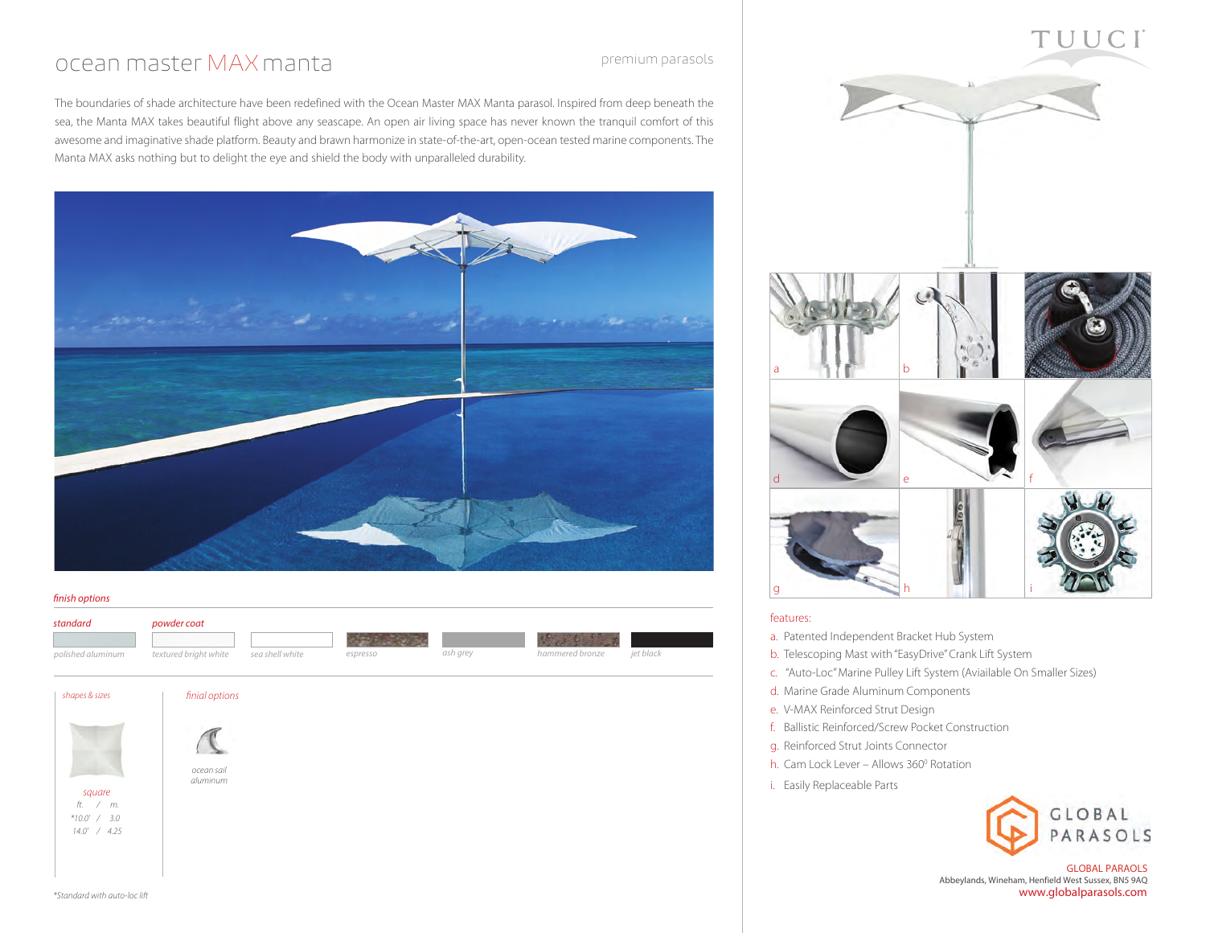### ocean master MAXmanta

premium parasols

The boundaries of shade architecture have been redefined with the Ocean Master MAX Manta parasol. Inspired from deep beneath the sea, the Manta MAX takes beautiful flight above any seascape. An open air living space has never known the tranquil comfort of this awesome and imaginative shade platform. Beauty and brawn harmonize in state-of-the-art, open-ocean tested marine components. The Manta MAX asks nothing but to delight the eye and shield the body with unparalleled durability.



#### *finish options*





- b. Telescoping Mast with "EasyDrive" Crank Lift System
- c. "Auto-Loc" Marine Pulley Lift System (Aviailable On Smaller Sizes)

 $\overline{\phantom{a}}$ 

- d. Marine Grade Aluminum Components
- e. V-MAX Reinforced Strut Design
- f. Ballistic Reinforced/Screw Pocket Construction
- g. Reinforced Strut Joints Connector
- h. Cam Lock Lever Allows 360<sup>°</sup> Rotation
- i. Easily Replaceable Parts



TUUC.

GLOBAL PARAOLS Abbeylands, Wineham, Henfield West Sussex, BN5 9AQ www.globalparasols.com

| $14.0'$ / $4.25$ |  |
|------------------|--|
|                  |  |
|                  |  |

*square ft. / m. \*10.0' / 3.0*

*ocean sail aluminum*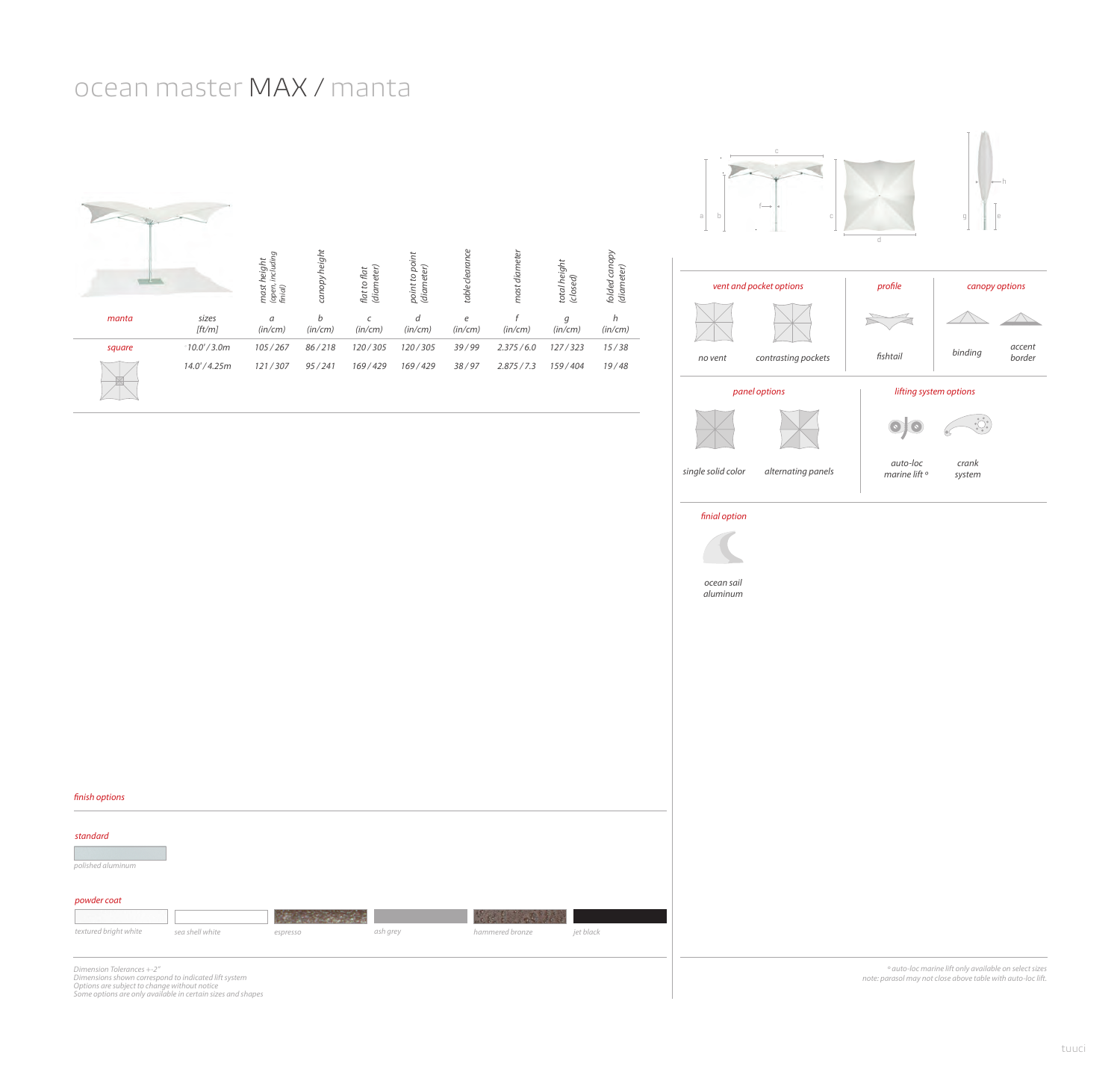## ocean master MAX / manta









*single solid color alternating panels*

 *auto-loc marine lift º crank system*

6Ç

 $\odot$   $\odot$ 

 *finial option*



*finish options powder coat standard polished aluminum*

| textured briaht white | sea shell white | espresso | ash grey | hammered bronze | iet black |
|-----------------------|-----------------|----------|----------|-----------------|-----------|

*Dimension Tolerances +-2" Dimensions shown correspond to indicated lift system Options are subject to change without notice Some options are only available in certain sizes and shapes*

 *º auto-loc marine lift only available on select sizes note: parasol may not close above table with auto-loc lift.*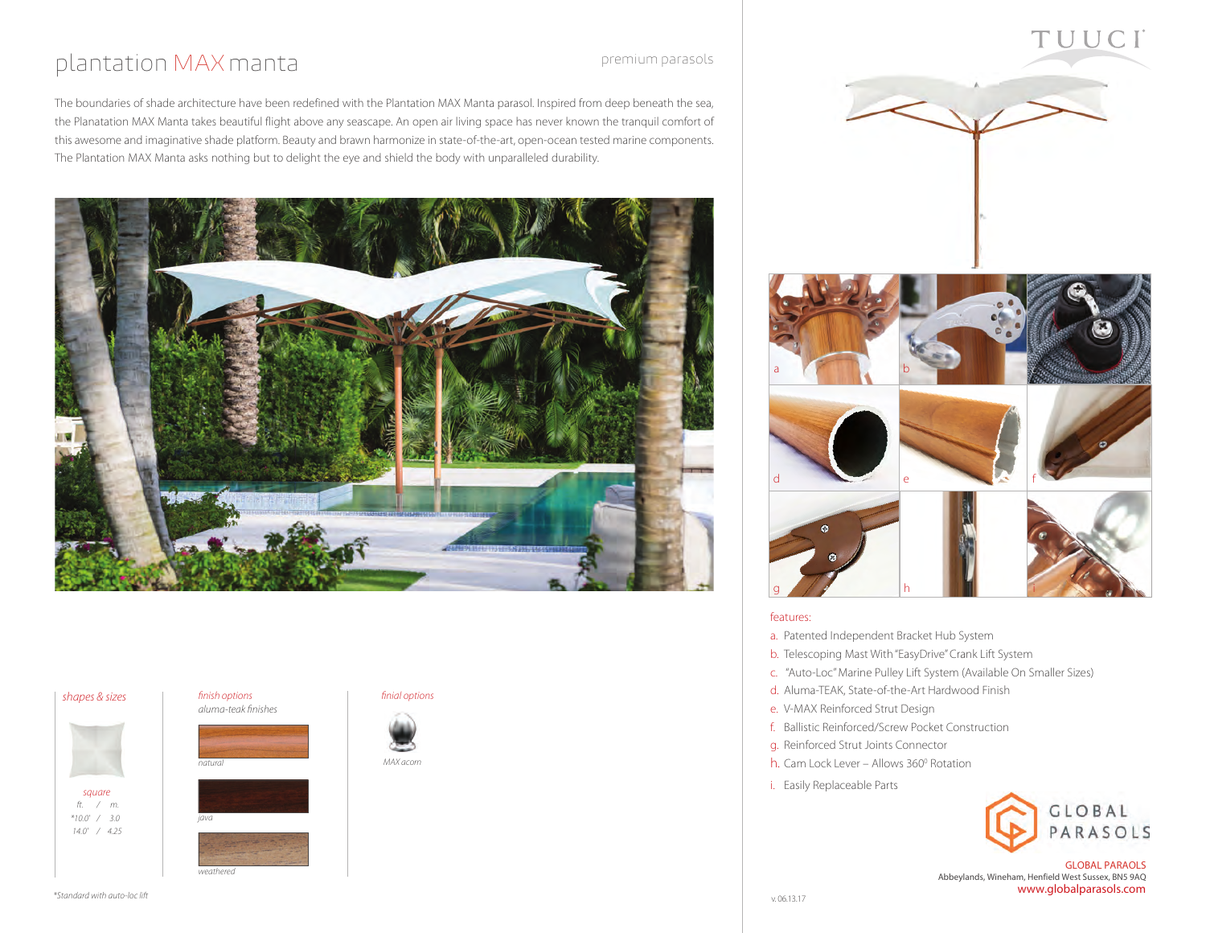## plantation MAXmanta

premium parasols

The boundaries of shade architecture have been redefined with the Plantation MAX Manta parasol. Inspired from deep beneath the sea, the Planatation MAX Manta takes beautiful flight above any seascape. An open air living space has never known the tranquil comfort of this awesome and imaginative shade platform. Beauty and brawn harmonize in state-of-the-art, open-ocean tested marine components. The Plantation MAX Manta asks nothing but to delight the eye and shield the body with unparalleled durability.



#### *shapes & sizes*



*square ft. / m. \*10.0' / 3.0 14.0' / 4.25*

### *finish options*



*java*

*natural*

*weathered*









TUUCI



#### features:

- a. Patented Independent Bracket Hub System
- b. Telescoping Mast With "EasyDrive" Crank Lift System
- c. "Auto-Loc" Marine Pulley Lift System (Available On Smaller Sizes)
- d. Aluma-TEAK, State-of-the-Art Hardwood Finish
- e. V-MAX Reinforced Strut Design
- f. Ballistic Reinforced/Screw Pocket Construction
- g. Reinforced Strut Joints Connector
- h. Cam Lock Lever Allows 360<sup>°</sup> Rotation
- i. Easily Replaceable Parts



GLOBAL PARAOLS Abbeylands, Wineham, Henfield West Sussex, BN5 9AQ www.globalparasols.com

*\*Standard with auto-loc lift*